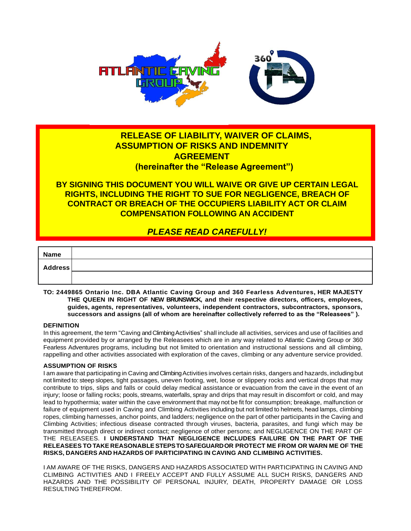

## **RELEASE OF LIABILITY, WAIVER OF CLAIMS, ASSUMPTION OF RISKS AND INDEMNITY AGREEMENT (hereinafter the "Release Agreement")**

**BY SIGNING THIS DOCUMENT YOU WILL WAIVE OR GIVE UP CERTAIN LEGAL RIGHTS, INCLUDING THE RIGHT TO SUE FOR NEGLIGENCE, BREACH OF CONTRACT OR BREACH OF THE OCCUPIERS LIABILITY ACT OR CLAIM COMPENSATION FOLLOWING AN ACCIDENT**

# *PLEASE READ CAREFULLY!*

| <b>Name</b>    |  |
|----------------|--|
| <b>Address</b> |  |
|                |  |

**TO: 2449865 Ontario Inc. DBA Atlantic Caving Group and 360 Fearless Adventures, HER MAJESTY THE QUEEN IN RIGHT OF NEW BRUNSWICK, and their respective directors, officers, employees, guides, agents, representatives, volunteers, independent contractors, subcontractors, sponsors, successors and assigns (all of whom are hereinafter collectively referred to as the "Releasees" ).**

### **DEFINITION**

In this agreement, the term "Caving and Climbing Activities" shall include all activities, services and use of facilities and equipment provided by or arranged by the Releasees which are in any way related to Atlantic Caving Group or 360 Fearless Adventures programs, including but not limited to orientation and instructional sessions and all climbing, rappelling and other activities associated with exploration of the caves, climbing or any adventure service provided.

## **ASSUMPTION OF RISKS**

I am aware that participating in Caving and Climbing Activities involves certain risks, dangers and hazards, includingbut not limited to: steep slopes, tight passages, uneven footing, wet, loose or slippery rocks and vertical drops that may contribute to trips, slips and falls or could delay medical assistance or evacuation from the cave in the event of an injury; loose or falling rocks; pools, streams, waterfalls, spray and drips that may result in discomfort or cold, and may lead to hypothermia; water within the cave environment that may not be fit for consumption; breakage, malfunction or failure of equipment used in Caving and Climbing Activities including but not limited to helmets, head lamps, climbing ropes, climbing harnesses, anchor points, and ladders; negligence on the part of other participants in the Caving and Climbing Activities; infectious disease contracted through viruses, bacteria, parasites, and fungi which may be transmitted through direct or indirect contact; negligence of other persons; and NEGLIGENCE ON THE PART OF THE RELEASEES. **I UNDERSTAND THAT NEGLIGENCE INCLUDES FAILURE ON THE PART OF THE RELEASEES TO TAKE REASONABLESTEPSTOSAFEGUARDOR PROTECT ME FROM OR WARN ME OF THE RISKS, DANGERS AND HAZARDS OF PARTICIPATING IN CAVING AND CLIMBING ACTIVITIES.**

I AM AWARE OF THE RISKS, DANGERS AND HAZARDS ASSOCIATED WITH PARTICIPATING IN CAVING AND CLIMBING ACTIVITIES AND I FREELY ACCEPT AND FULLY ASSUME ALL SUCH RISKS, DANGERS AND HAZARDS AND THE POSSIBILITY OF PERSONAL INJURY, DEATH, PROPERTY DAMAGE OR LOSS RESULTING THEREFROM.